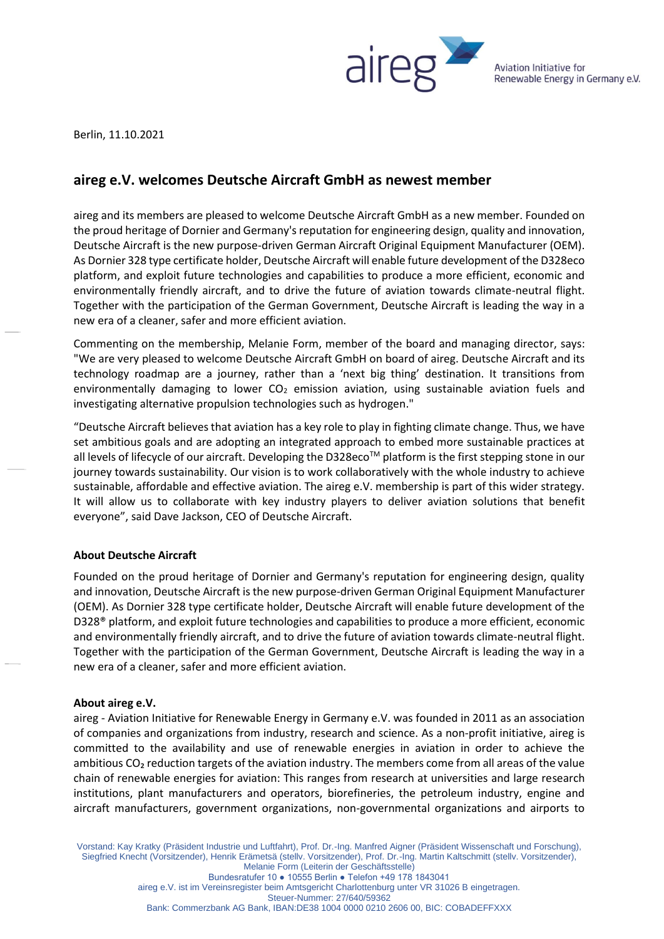

Aviation Initiative for Renewable Energy in Germany e.V.

Berlin, 11.10.2021

## **aireg e.V. welcomes Deutsche Aircraft GmbH as newest member**

aireg and its members are pleased to welcome Deutsche Aircraft GmbH as a new member. Founded on the proud heritage of Dornier and Germany's reputation for engineering design, quality and innovation, Deutsche Aircraft is the new purpose-driven German Aircraft Original Equipment Manufacturer (OEM). As Dornier 328 type certificate holder, Deutsche Aircraft will enable future development of the D328eco platform, and exploit future technologies and capabilities to produce a more efficient, economic and environmentally friendly aircraft, and to drive the future of aviation towards climate-neutral flight. Together with the participation of the German Government, Deutsche Aircraft is leading the way in a new era of a cleaner, safer and more efficient aviation.

Commenting on the membership, Melanie Form, member of the board and managing director, says: "We are very pleased to welcome Deutsche Aircraft GmbH on board of aireg. Deutsche Aircraft and its technology roadmap are a journey, rather than a 'next big thing' destination. It transitions from environmentally damaging to lower  $CO<sub>2</sub>$  emission aviation, using sustainable aviation fuels and investigating alternative propulsion technologies such as hydrogen."

"Deutsche Aircraft believes that aviation has a key role to play in fighting climate change. Thus, we have set ambitious goals and are adopting an integrated approach to embed more sustainable practices at all levels of lifecycle of our aircraft. Developing the D328eco™ platform is the first stepping stone in our journey towards sustainability. Our vision is to work collaboratively with the whole industry to achieve sustainable, affordable and effective aviation. The aireg e.V. membership is part of this wider strategy. It will allow us to collaborate with key industry players to deliver aviation solutions that benefit everyone", said Dave Jackson, CEO of Deutsche Aircraft.

## **About Deutsche Aircraft**

Founded on the proud heritage of Dornier and Germany's reputation for engineering design, quality and innovation, Deutsche Aircraft is the new purpose-driven German Original Equipment Manufacturer (OEM). As Dornier 328 type certificate holder, Deutsche Aircraft will enable future development of the D328® platform, and exploit future technologies and capabilities to produce a more efficient, economic and environmentally friendly aircraft, and to drive the future of aviation towards climate-neutral flight. Together with the participation of the German Government, Deutsche Aircraft is leading the way in a new era of a cleaner, safer and more efficient aviation.

## **About aireg e.V.**

aireg - Aviation Initiative for Renewable Energy in Germany e.V. was founded in 2011 as an association of companies and organizations from industry, research and science. As a non-profit initiative, aireg is committed to the availability and use of renewable energies in aviation in order to achieve the ambitious CO₂ reduction targets of the aviation industry. The members come from all areas of the value chain of renewable energies for aviation: This ranges from research at universities and large research institutions, plant manufacturers and operators, biorefineries, the petroleum industry, engine and aircraft manufacturers, government organizations, non-governmental organizations and airports to

Vorstand: Kay Kratky (Präsident Industrie und Luftfahrt), Prof. Dr.-Ing. Manfred Aigner (Präsident Wissenschaft und Forschung), Siegfried Knecht (Vorsitzender), Henrik Erämetsä (stellv. Vorsitzender), Prof. Dr.-Ing. Martin Kaltschmitt (stellv. Vorsitzender), Melanie Form (Leiterin der Geschäftsstelle)